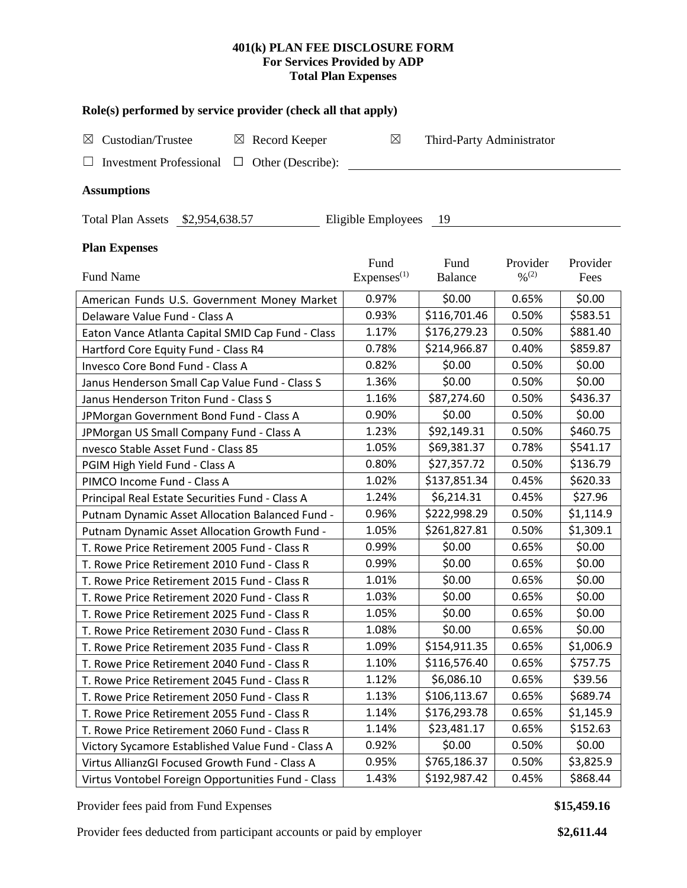## **401(k) PLAN FEE DISCLOSURE FORM For Services Provided by ADP Total Plan Expenses**

### **Role(s) performed by service provider (check all that apply)**

| $\boxtimes$ Custodian/Trustee                           | $\boxtimes$ Record Keeper | Third-Party Administrator |
|---------------------------------------------------------|---------------------------|---------------------------|
| $\Box$ Investment Professional $\Box$ Other (Describe): |                           |                           |

### **Assumptions**

Total Plan Assets \$2,954,638.57 Eligible Employees 19

# **Plan Expenses**

|                                                    | Fund                    | Fund           | Provider                     | Provider  |
|----------------------------------------------------|-------------------------|----------------|------------------------------|-----------|
| <b>Fund Name</b>                                   | Expenses <sup>(1)</sup> | <b>Balance</b> | $\frac{0}{0}$ <sup>(2)</sup> | Fees      |
| American Funds U.S. Government Money Market        | 0.97%                   | \$0.00         | 0.65%                        | \$0.00    |
| Delaware Value Fund - Class A                      | 0.93%                   | \$116,701.46   | 0.50%                        | \$583.51  |
| Eaton Vance Atlanta Capital SMID Cap Fund - Class  | 1.17%                   | \$176,279.23   | 0.50%                        | \$881.40  |
| Hartford Core Equity Fund - Class R4               | 0.78%                   | \$214,966.87   | 0.40%                        | \$859.87  |
| Invesco Core Bond Fund - Class A                   | 0.82%                   | \$0.00         | 0.50%                        | \$0.00    |
| Janus Henderson Small Cap Value Fund - Class S     | 1.36%                   | \$0.00         | 0.50%                        | \$0.00    |
| Janus Henderson Triton Fund - Class S              | 1.16%                   | \$87,274.60    | 0.50%                        | \$436.37  |
| JPMorgan Government Bond Fund - Class A            | 0.90%                   | \$0.00         | 0.50%                        | \$0.00    |
| JPMorgan US Small Company Fund - Class A           | 1.23%                   | \$92,149.31    | 0.50%                        | \$460.75  |
| nvesco Stable Asset Fund - Class 85                | 1.05%                   | \$69,381.37    | 0.78%                        | \$541.17  |
| PGIM High Yield Fund - Class A                     | 0.80%                   | \$27,357.72    | 0.50%                        | \$136.79  |
| PIMCO Income Fund - Class A                        | 1.02%                   | \$137,851.34   | 0.45%                        | \$620.33  |
| Principal Real Estate Securities Fund - Class A    | 1.24%                   | \$6,214.31     | 0.45%                        | \$27.96   |
| Putnam Dynamic Asset Allocation Balanced Fund -    | 0.96%                   | \$222,998.29   | 0.50%                        | \$1,114.9 |
| Putnam Dynamic Asset Allocation Growth Fund -      | 1.05%                   | \$261,827.81   | 0.50%                        | \$1,309.1 |
| T. Rowe Price Retirement 2005 Fund - Class R       | 0.99%                   | \$0.00         | 0.65%                        | \$0.00    |
| T. Rowe Price Retirement 2010 Fund - Class R       | 0.99%                   | \$0.00         | 0.65%                        | \$0.00    |
| T. Rowe Price Retirement 2015 Fund - Class R       | 1.01%                   | \$0.00         | 0.65%                        | \$0.00    |
| T. Rowe Price Retirement 2020 Fund - Class R       | 1.03%                   | \$0.00         | 0.65%                        | \$0.00    |
| T. Rowe Price Retirement 2025 Fund - Class R       | 1.05%                   | \$0.00         | 0.65%                        | \$0.00    |
| T. Rowe Price Retirement 2030 Fund - Class R       | 1.08%                   | \$0.00         | 0.65%                        | \$0.00    |
| T. Rowe Price Retirement 2035 Fund - Class R       | 1.09%                   | \$154,911.35   | 0.65%                        | \$1,006.9 |
| T. Rowe Price Retirement 2040 Fund - Class R       | 1.10%                   | \$116,576.40   | 0.65%                        | \$757.75  |
| T. Rowe Price Retirement 2045 Fund - Class R       | 1.12%                   | \$6,086.10     | 0.65%                        | \$39.56   |
| T. Rowe Price Retirement 2050 Fund - Class R       | 1.13%                   | \$106,113.67   | 0.65%                        | \$689.74  |
| T. Rowe Price Retirement 2055 Fund - Class R       | 1.14%                   | \$176,293.78   | 0.65%                        | \$1,145.9 |
| T. Rowe Price Retirement 2060 Fund - Class R       | 1.14%                   | \$23,481.17    | 0.65%                        | \$152.63  |
| Victory Sycamore Established Value Fund - Class A  | 0.92%                   | \$0.00         | 0.50%                        | \$0.00    |
| Virtus AllianzGI Focused Growth Fund - Class A     | 0.95%                   | \$765,186.37   | 0.50%                        | \$3,825.9 |
| Virtus Vontobel Foreign Opportunities Fund - Class | 1.43%                   | \$192,987.42   | 0.45%                        | \$868.44  |

Provider fees paid from Fund Expenses **\$15,459.16 \$15,459.16** 

Provider fees deducted from participant accounts or paid by employer **\$2,611.44**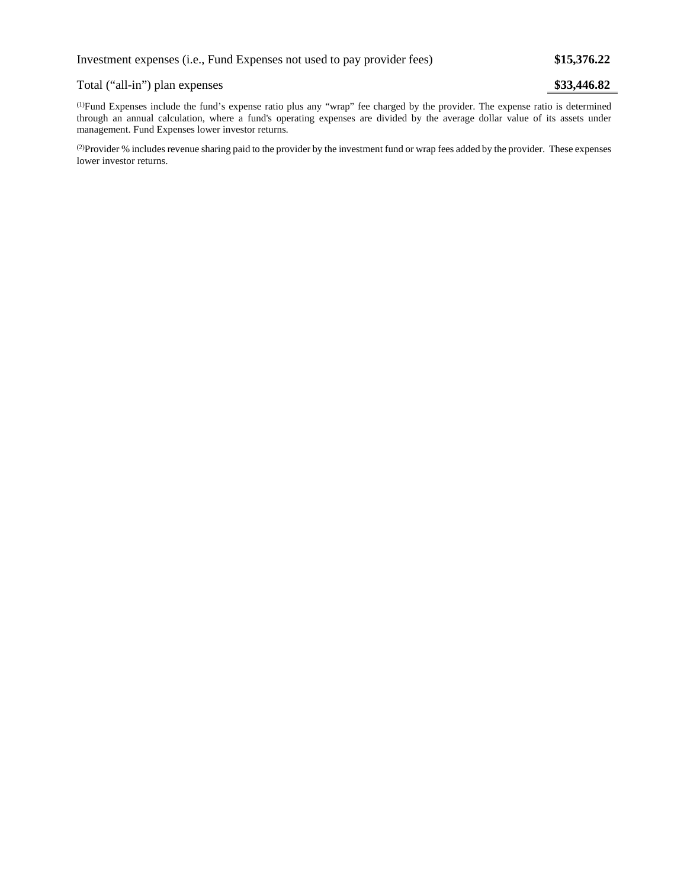### Total ("all-in") plan expenses **\$33,446.82**

(1) Fund Expenses include the fund's expense ratio plus any "wrap" fee charged by the provider. The expense ratio is determined through an annual calculation, where a fund's operating expenses are divided by the average dollar value of its assets under management. Fund Expenses lower investor returns.

(2) Provider % includes revenue sharing paid to the provider by the investment fund or wrap fees added by the provider. These expenses lower investor returns.